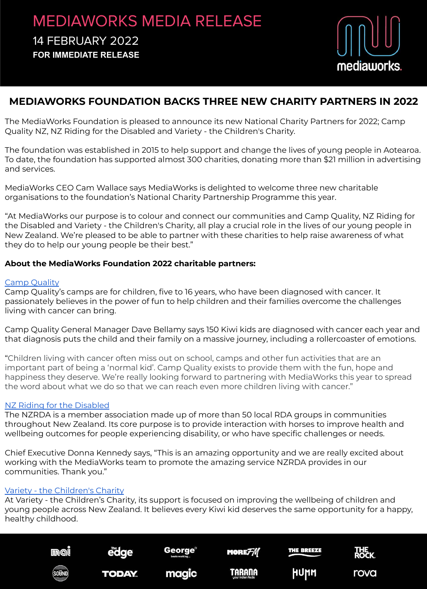## MEDIAWORKS MEDIA RELEASE 14 FEBRUARY 2022 **FOR IMMEDIATE RELEASE**



### **MEDIAWORKS FOUNDATION BACKS THREE NEW CHARITY PARTNERS IN 2022**

The MediaWorks Foundation is pleased to announce its new National Charity Partners for 2022; Camp Quality NZ, NZ Riding for the Disabled and Variety - the Children's Charity.

The foundation was established in 2015 to help support and change the lives of young people in Aotearoa. To date, the foundation has supported almost 300 charities, donating more than \$21 million in advertising and services.

MediaWorks CEO Cam Wallace says MediaWorks is delighted to welcome three new charitable organisations to the foundation's National Charity Partnership Programme this year.

"At MediaWorks our purpose is to colour and connect our communities and Camp Quality, NZ Riding for the Disabled and Variety - the Children's Charity, all play a crucial role in the lives of our young people in New Zealand. We're pleased to be able to partner with these charities to help raise awareness of what they do to help our young people be their best."

#### **About the MediaWorks Foundation 2022 charitable partners:**

#### [Camp Quality](https://www.campquality.org.nz/)

Camp Quality's camps are for children, five to 16 years, who have been diagnosed with cancer. It passionately believes in the power of fun to help children and their families overcome the challenges living with cancer can bring.

Camp Quality General Manager Dave Bellamy says 150 Kiwi kids are diagnosed with cancer each year and that diagnosis puts the child and their family on a massive journey, including a rollercoaster of emotions.

"Children living with cancer often miss out on school, camps and other fun activities that are an important part of being a 'normal kid'. Camp Quality exists to provide them with the fun, hope and happiness they deserve. We're really looking forward to partnering with MediaWorks this year to spread the word about what we do so that we can reach even more children living with cancer."

#### [NZ Riding for the Disabled](https://rda.org.nz/)

The NZRDA is a member association made up of more than 50 local RDA groups in communities throughout New Zealand. Its core purpose is to provide interaction with horses to improve health and wellbeing outcomes for people experiencing disability, or who have specific challenges or needs.

Chief Executive Donna Kennedy says, "This is an amazing opportunity and we are really excited about working with the MediaWorks team to promote the amazing service NZRDA provides in our communities. Thank you."

#### [Variety - the Children's Charity](https://www.variety.org.nz/)

At Variety - the Children's Charity, its support is focused on improving the wellbeing of children and young people across New Zealand. It believes every Kiwi kid deserves the same opportunity for a happy, healthy childhood.

| mal     | The <b>T</b><br>е<br>o | <b>George<sup>®</sup></b><br>beats working | :FM<br>MORI       |      | ROCK |
|---------|------------------------|--------------------------------------------|-------------------|------|------|
| (SOÜND) | <b>TODAY.</b>          | m<br>Tele                                  | your Indian Radio | HUMM | rova |